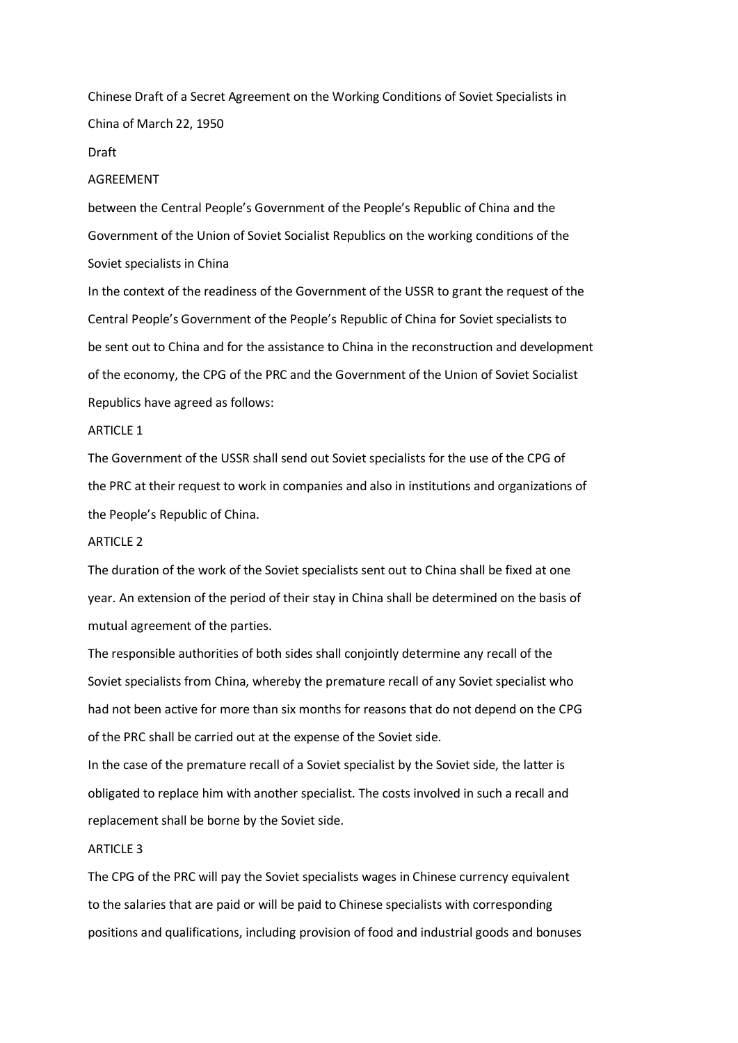Chinese Draft of a Secret Agreement on the Working Conditions of Soviet Specialists in China of March 22, 1950

#### Draft

## AGREEMENT

between the Central People's Government of the People's Republic of China and the Government of the Union of Soviet Socialist Republics on the working conditions of the Soviet specialists in China

In the context of the readiness of the Government of the USSR to grant the request of the Central People's Government of the People's Republic of China for Soviet specialists to be sent out to China and for the assistance to China in the reconstruction and development of the economy, the CPG of the PRC and the Government of the Union of Soviet Socialist Republics have agreed as follows:

## ARTICLE 1

The Government of the USSR shall send out Soviet specialists for the use of the CPG of the PRC at their request to work in companies and also in institutions and organizations of the People's Republic of China.

## ARTICLE 2

The duration of the work of the Soviet specialists sent out to China shall be fixed at one year. An extension of the period of their stay in China shall be determined on the basis of mutual agreement of the parties.

The responsible authorities of both sides shall conjointly determine any recall of the Soviet specialists from China, whereby the premature recall of any Soviet specialist who had not been active for more than six months for reasons that do not depend on the CPG of the PRC shall be carried out at the expense of the Soviet side.

In the case of the premature recall of a Soviet specialist by the Soviet side, the latter is obligated to replace him with another specialist. The costs involved in such a recall and replacement shall be borne by the Soviet side.

## ARTICLE 3

The CPG of the PRC will pay the Soviet specialists wages in Chinese currency equivalent to the salaries that are paid or will be paid to Chinese specialists with corresponding positions and qualifications, including provision of food and industrial goods and bonuses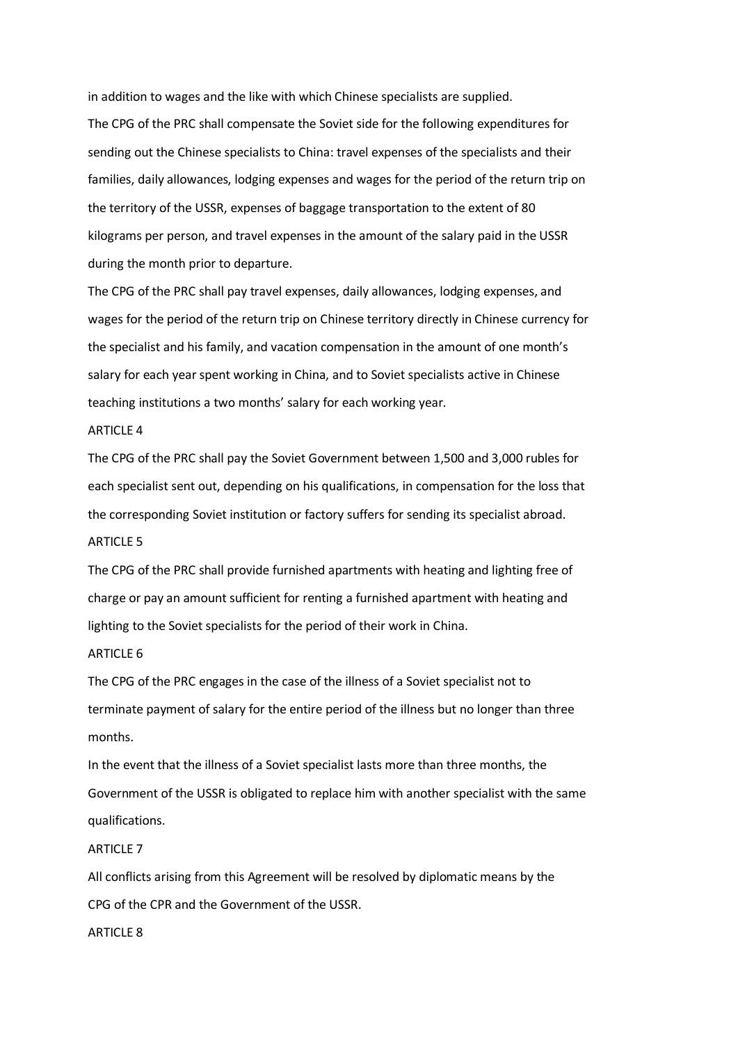in addition to wages and the like with which Chinese specialists are supplied. The CPG of the PRC shall compensate the Soviet side for the following expenditures for sending out the Chinese specialists to China: travel expenses of the specialists and their families, daily allowances, lodging expenses and wages for the period of the return trip on the territory of the USSR, expenses of baggage transportation to the extent of 80 kilograms per person, and travel expenses in the amount of the salary paid in the USSR during the month prior to departure.

The CPG of the PRC shall pay travel expenses, daily allowances, lodging expenses, and wages for the period of the return trip on Chinese territory directly in Chinese currency for the specialist and his family, and vacation compensation in the amount of one month's salary for each year spent working in China, and to Soviet specialists active in Chinese teaching institutions a two months' salary for each working year.

#### ARTICLE 4

The CPG of the PRC shall pay the Soviet Government between 1,500 and 3,000 rubles for each specialist sent out, depending on his qualifications, in compensation for the loss that the corresponding Soviet institution or factory suffers for sending its specialist abroad. ARTICLE 5

The CPG of the PRC shall provide furnished apartments with heating and lighting free of charge or pay an amount sufficient for renting a furnished apartment with heating and lighting to the Soviet specialists for the period of their work in China.

### ARTICLE 6

The CPG of the PRC engages in the case of the illness of a Soviet specialist not to terminate payment of salary for the entire period of the illness but no longer than three months.

In the event that the illness of a Soviet specialist lasts more than three months, the Government of the USSR is obligated to replace him with another specialist with the same qualifications.

## ARTICLE 7

All conflicts arising from this Agreement will be resolved by diplomatic means by the CPG of the CPR and the Government of the USSR.

# ARTICLE 8